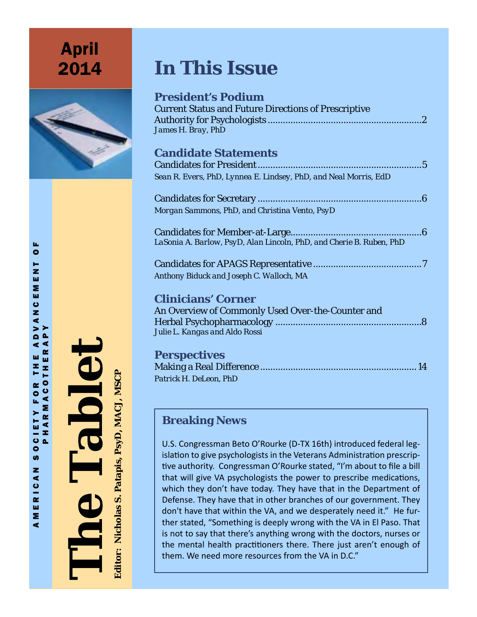**April** 2014



# **In This Issue**

| <b>President's Podium</b><br><b>Current Status and Future Directions of Prescriptive</b><br>James H. Bray, PhD |
|----------------------------------------------------------------------------------------------------------------|
| <b>Candidate Statements</b>                                                                                    |
|                                                                                                                |
| Sean R. Evers, PhD, Lynnea E. Lindsey, PhD, and Neal Morris, EdD                                               |
|                                                                                                                |
| Morgan Sammons, PhD, and Christina Vento, PsyD                                                                 |
| LaSonia A. Barlow, PsyD, Alan Lincoln, PhD, and Cherie B. Ruben, PhD                                           |
| Anthony Biduck and Joseph C. Walloch, MA                                                                       |
| <b>Clinicians' Corner</b>                                                                                      |
| An Overview of Commonly Used Over-the-Counter and                                                              |
|                                                                                                                |
| Julie L. Kangas and Aldo Rossi                                                                                 |
| Perspectives                                                                                                   |

**Perspectives** Making a Real Difference .............................................................. 14 *Patrick H. DeLeon, PhD*

# **Breaking News**

U.S. Congressman Beto O'Rourke (D-TX 16th) introduced federal leg islation to give psychologists in the Veterans Administration prescrip tive authority. Congressman O'Rourke stated, "I'm about to file a bill that will give VA psychologists the power to prescribe medications, which they don't have today. They have that in the Department of Defense. They have that in other branches of our government. They don't have that within the VA, and we desperately need it." He fur ther stated, "Something is deeply wrong with the VA in El Paso. That is not to say that there's anything wrong with the doctors, nurses or the mental health practitioners there. There just aren't enough of them. We need more resources from the VA in D.C."

**The Tablet** Editor: Nicholas S. Patapis, PsyD, MACJ, MSCP **Editor: Nicholas S. Patapis, PsyD, MACJ, MSCP Editor: Nicholas S. Patapis, PsyD. MAC**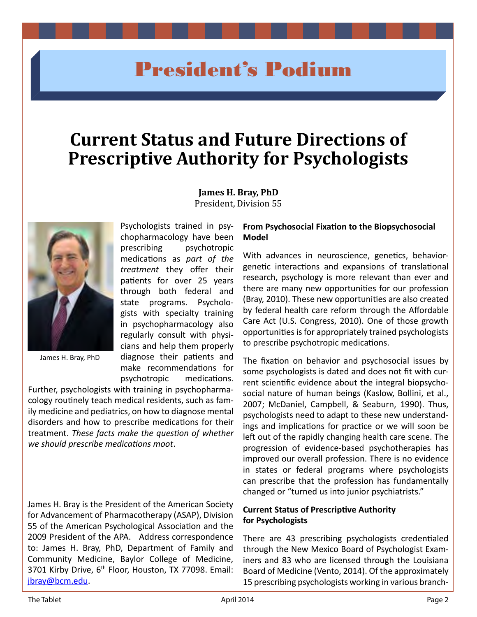# President's Podium

# **Current Status and Future Directions of Prescriptive Authority for Psychologists**

**James H. Bray, PhD** President, Division 55



James H. Bray, PhD

prescribing psychotropic medications as *part of the treatment* they offer their patients for over 25 years through both federal and state programs. Psychologists with specialty training in psychopharmacology also regularly consult with physicians and help them properly diagnose their patients and make recommendations for psychotropic medications.

Psychologists trained in psychopharmacology have been

Further, psychologists with training in psychopharmacology routinely teach medical residents, such as family medicine and pediatrics, on how to diagnose mental disorders and how to prescribe medications for their treatment. *These facts make the question of whether we should prescribe medications moot*.

### **From Psychosocial Fixation to the Biopsychosocial Model**

With advances in neuroscience, genetics, behaviorgenetic interactions and expansions of translational research, psychology is more relevant than ever and there are many new opportunities for our profession (Bray, 2010). These new opportunities are also created by federal health care reform through the Affordable Care Act (U.S. Congress, 2010). One of those growth opportunities is for appropriately trained psychologists to prescribe psychotropic medications.

The fixation on behavior and psychosocial issues by some psychologists is dated and does not fit with current scientific evidence about the integral biopsychosocial nature of human beings (Kaslow, Bollini, et al., 2007; McDaniel, Campbell, & Seaburn, 1990). Thus, psychologists need to adapt to these new understandings and implications for practice or we will soon be left out of the rapidly changing health care scene. The progression of evidence-based psychotherapies has improved our overall profession. There is no evidence in states or federal programs where psychologists can prescribe that the profession has fundamentally changed or "turned us into junior psychiatrists."

### **Current Status of Prescriptive Authority for Psychologists**

There are 43 prescribing psychologists credentialed through the New Mexico Board of Psychologist Examiners and 83 who are licensed through the Louisiana Board of Medicine (Vento, 2014). Of the approximately 15 prescribing psychologists working in various branch-

James H. Bray is the President of the American Society for Advancement of Pharmacotherapy (ASAP), Division 55 of the American Psychological Association and the 2009 President of the APA. Address correspondence to: James H. Bray, PhD, Department of Family and Community Medicine, Baylor College of Medicine, 3701 Kirby Drive, 6<sup>th</sup> Floor, Houston, TX 77098. Email: [jbray@bcm.edu](mailto:jbray@bcm.edu).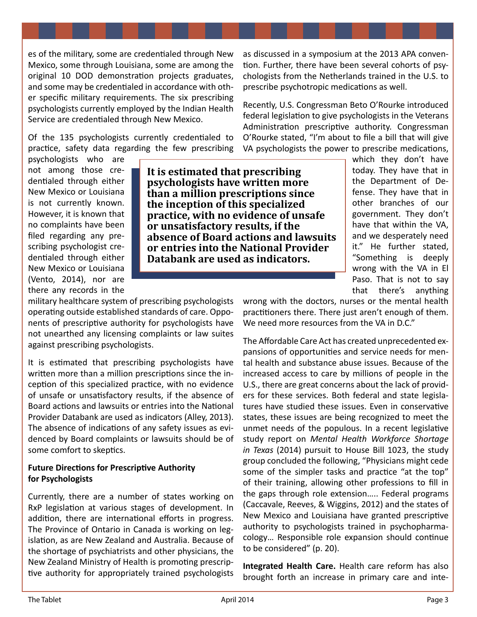es of the military, some are credentialed through New Mexico, some through Louisiana, some are among the original 10 DOD demonstration projects graduates, and some may be credentialed in accordance with other specific military requirements. The six prescribing psychologists currently employed by the Indian Health Service are credentialed through New Mexico.

Of the 135 psychologists currently credentialed to practice, safety data regarding the few prescribing

Recently, U.S. Congressman Beto O'Rourke introduced federal legislation to give psychologists in the Veterans Administration prescriptive authority. Congressman O'Rourke stated, "I'm about to file a bill that will give VA psychologists the power to prescribe medications,

psychologists who are not among those credentialed through either New Mexico or Louisiana is not currently known. However, it is known that no complaints have been filed regarding any prescribing psychologist credentialed through either New Mexico or Louisiana (Vento, 2014), nor are there any records in the

**It is estimated that prescribing psychologists have written more than a million prescriptions since the inception of this specialized practice, with no evidence of unsafe or unsatisfactory results, if the absence of Board actions and lawsuits or entries into the National Provider Databank are used as indicators.**

which they don't have today. They have that in the Department of Defense. They have that in other branches of our government. They don't have that within the VA, and we desperately need it." He further stated, "Something is deeply wrong with the VA in El Paso. That is not to say that there's anything

military healthcare system of prescribing psychologists operating outside established standards of care. Opponents of prescriptive authority for psychologists have not unearthed any licensing complaints or law suites against prescribing psychologists.

It is estimated that prescribing psychologists have written more than a million prescriptions since the inception of this specialized practice, with no evidence of unsafe or unsatisfactory results, if the absence of Board actions and lawsuits or entries into the National Provider Databank are used as indicators (Alley, 2013). The absence of indications of any safety issues as evidenced by Board complaints or lawsuits should be of some comfort to skeptics.

# **Future Directions for Prescriptive Authority for Psychologists**

Currently, there are a number of states working on RxP legislation at various stages of development. In addition, there are international efforts in progress. The Province of Ontario in Canada is working on legislation, as are New Zealand and Australia. Because of the shortage of psychiatrists and other physicians, the New Zealand Ministry of Health is promoting prescriptive authority for appropriately trained psychologists

wrong with the doctors, nurses or the mental health practitioners there. There just aren't enough of them. We need more resources from the VA in D.C."

as discussed in a symposium at the 2013 APA convention. Further, there have been several cohorts of psychologists from the Netherlands trained in the U.S. to

prescribe psychotropic medications as well.

The Affordable Care Act has created unprecedented expansions of opportunities and service needs for mental health and substance abuse issues. Because of the increased access to care by millions of people in the U.S., there are great concerns about the lack of providers for these services. Both federal and state legislatures have studied these issues. Even in conservative states, these issues are being recognized to meet the unmet needs of the populous. In a recent legislative study report on *Mental Health Workforce Shortage in Texas* (2014) pursuit to House Bill 1023, the study group concluded the following, "Physicians might cede some of the simpler tasks and practice "at the top" of their training, allowing other professions to fill in the gaps through role extension….. Federal programs (Caccavale, Reeves, & Wiggins, 2012) and the states of New Mexico and Louisiana have granted prescriptive authority to psychologists trained in psychopharmacology… Responsible role expansion should continue to be considered" (p. 20).

**Integrated Health Care.** Health care reform has also brought forth an increase in primary care and inte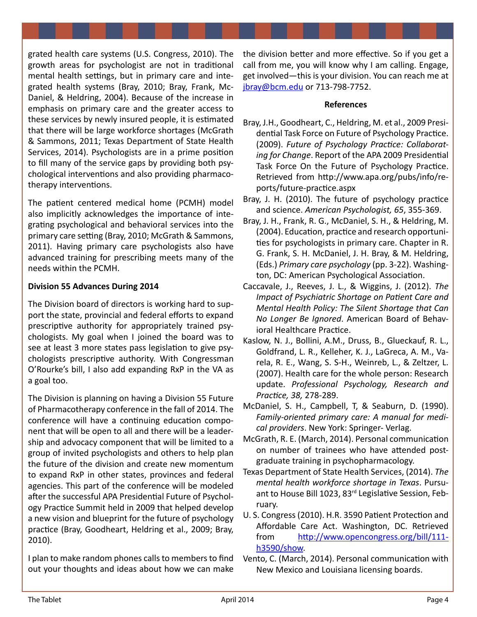grated health care systems (U.S. Congress, 2010). The growth areas for psychologist are not in traditional mental health settings, but in primary care and integrated health systems (Bray, 2010; Bray, Frank, Mc-Daniel, & Heldring, 2004). Because of the increase in emphasis on primary care and the greater access to these services by newly insured people, it is estimated that there will be large workforce shortages (McGrath & Sammons, 2011; Texas Department of State Health Services, 2014). Psychologists are in a prime position to fill many of the service gaps by providing both psychological interventions and also providing pharmacotherapy interventions.

The patient centered medical home (PCMH) model also implicitly acknowledges the importance of integrating psychological and behavioral services into the primary care setting (Bray, 2010; McGrath & Sammons, 2011). Having primary care psychologists also have advanced training for prescribing meets many of the needs within the PCMH.

# **Division 55 Advances During 2014**

The Division board of directors is working hard to support the state, provincial and federal efforts to expand prescriptive authority for appropriately trained psychologists. My goal when I joined the board was to see at least 3 more states pass legislation to give psychologists prescriptive authority. With Congressman O'Rourke's bill, I also add expanding RxP in the VA as a goal too.

The Division is planning on having a Division 55 Future of Pharmacotherapy conference in the fall of 2014. The conference will have a continuing education component that will be open to all and there will be a leadership and advocacy component that will be limited to a group of invited psychologists and others to help plan the future of the division and create new momentum to expand RxP in other states, provinces and federal agencies. This part of the conference will be modeled after the successful APA Presidential Future of Psychology Practice Summit held in 2009 that helped develop a new vision and blueprint for the future of psychology practice (Bray, Goodheart, Heldring et al., 2009; Bray, 2010).

I plan to make random phones calls to members to find out your thoughts and ideas about how we can make the division better and more effective. So if you get a call from me, you will know why I am calling. Engage, get involved—this is your division. You can reach me at [jbray@bcm.edu](mailto:jbray@bcm.edu) or 713-798-7752.

### **References**

- Bray, J.H., Goodheart, C., Heldring, M. et al., 2009 Presidential Task Force on Future of Psychology Practice. (2009). *Future of Psychology Practice: Collaborating for Change*. Report of the APA 2009 Presidential Task Force On the Future of Psychology Practice. Retrieved from [http://www.apa.org/pubs/info/re](http://www.apa.org/pubs/info/reports/future-practice.aspx)[ports/future-practice.aspx](http://www.apa.org/pubs/info/reports/future-practice.aspx)
- Bray, J. H. (2010). The future of psychology practice and science. *American Psychologist, 65*, 355-369.
- Bray, J. H., Frank, R. G., McDaniel, S. H., & Heldring, M. (2004). Education, practice and research opportunities for psychologists in primary care. Chapter in R. G. Frank, S. H. McDaniel, J. H. Bray, & M. Heldring, (Eds.) *Primary care psychology* (pp. 3-22). Washington, DC: American Psychological Association.
- Caccavale, J., Reeves, J. L., & Wiggins, J. (2012). *The Impact of Psychiatric Shortage on Patient Care and Mental Health Policy: The Silent Shortage that Can No Longer Be Ignored*. American Board of Behavioral Healthcare Practice.
- Kaslow, N. J., Bollini, A.M., Druss, B., Glueckauf, R. L., Goldfrand, L. R., Kelleher, K. J., LaGreca, A. M., Varela, R. E., Wang, S. S-H., Weinreb, L., & Zeltzer, L. (2007). Health care for the whole person: Research update. *Professional Psychology, Research and Practice, 38,* 278-289.
- McDaniel, S. H., Campbell, T, & Seaburn, D. (1990). *Family-oriented primary care: A manual for medical providers*. New York: Springer- Verlag.
- McGrath, R. E. (March, 2014). Personal communication on number of trainees who have attended postgraduate training in psychopharmacology.
- Texas Department of State Health Services, (2014). *The mental health workforce shortage in Texas*. Pursuant to House Bill 1023, 83rd Legislative Session, February.
- U. S. Congress (2010). H.R. 3590 Patient Protection and Affordable Care Act. Washington, DC. Retrieved from [http://www.opencongress.org/bill/111](http://www.opencongress.org/bill/111-h3590/show) [h3590/show](http://www.opencongress.org/bill/111-h3590/show).
- Vento, C. (March, 2014). Personal communication with New Mexico and Louisiana licensing boards.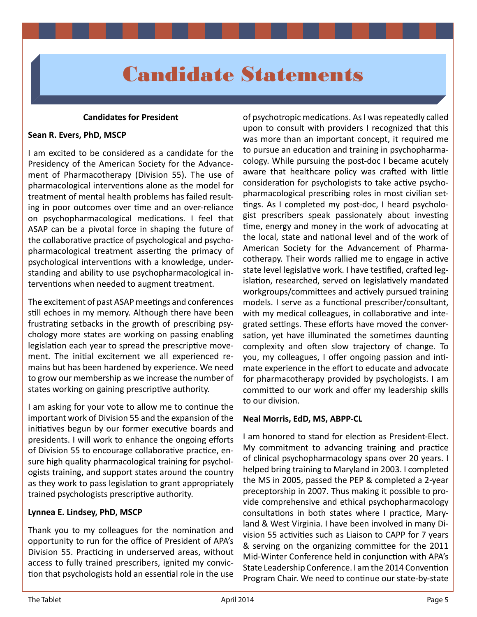# Candidate Statements

### **Candidates for President**

### **Sean R. Evers, PhD, MSCP**

I am excited to be considered as a candidate for the Presidency of the American Society for the Advancement of Pharmacotherapy (Division 55). The use of pharmacological interventions alone as the model for treatment of mental health problems has failed resulting in poor outcomes over time and an over-reliance on psychopharmacological medications. I feel that ASAP can be a pivotal force in shaping the future of the collaborative practice of psychological and psychopharmacological treatment asserting the primacy of psychological interventions with a knowledge, understanding and ability to use psychopharmacological interventions when needed to augment treatment.

The excitement of past ASAP meetings and conferences still echoes in my memory. Although there have been frustrating setbacks in the growth of prescribing psychology more states are working on passing enabling legislation each year to spread the prescriptive movement. The initial excitement we all experienced remains but has been hardened by experience. We need to grow our membership as we increase the number of states working on gaining prescriptive authority.

I am asking for your vote to allow me to continue the important work of Division 55 and the expansion of the initiatives begun by our former executive boards and presidents. I will work to enhance the ongoing efforts of Division 55 to encourage collaborative practice, ensure high quality pharmacological training for psychologists training, and support states around the country as they work to pass legislation to grant appropriately trained psychologists prescriptive authority.

### **Lynnea E. Lindsey, PhD, MSCP**

Thank you to my colleagues for the nomination and opportunity to run for the office of President of APA's Division 55. Practicing in underserved areas, without access to fully trained prescribers, ignited my conviction that psychologists hold an essential role in the use

of psychotropic medications. As I was repeatedly called upon to consult with providers I recognized that this was more than an important concept, it required me to pursue an education and training in psychopharmacology. While pursuing the post-doc I became acutely aware that healthcare policy was crafted with little consideration for psychologists to take active psychopharmacological prescribing roles in most civilian settings. As I completed my post-doc, I heard psychologist prescribers speak passionately about investing time, energy and money in the work of advocating at the local, state and national level and of the work of American Society for the Advancement of Pharmacotherapy. Their words rallied me to engage in active state level legislative work. I have testified, crafted legislation, researched, served on legislatively mandated workgroups/committees and actively pursued training models. I serve as a functional prescriber/consultant, with my medical colleagues, in collaborative and integrated settings. These efforts have moved the conversation, yet have illuminated the sometimes daunting complexity and often slow trajectory of change. To you, my colleagues, I offer ongoing passion and intimate experience in the effort to educate and advocate for pharmacotherapy provided by psychologists. I am committed to our work and offer my leadership skills to our division.

### **Neal Morris, EdD, MS, ABPP-CL**

I am honored to stand for election as President-Elect. My commitment to advancing training and practice of clinical psychopharmacology spans over 20 years. I helped bring training to Maryland in 2003. I completed the MS in 2005, passed the PEP & completed a 2-year preceptorship in 2007. Thus making it possible to provide comprehensive and ethical psychopharmacology consultations in both states where I practice, Maryland & West Virginia. I have been involved in many Division 55 activities such as Liaison to CAPP for 7 years & serving on the organizing committee for the 2011 Mid-Winter Conference held in conjunction with APA's State Leadership Conference. I am the 2014 Convention Program Chair. We need to continue our state-by-state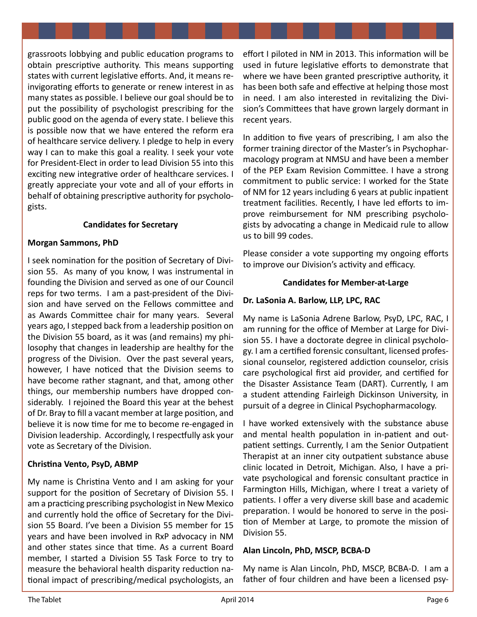grassroots lobbying and public education programs to obtain prescriptive authority. This means supporting states with current legislative efforts. And, it means reinvigorating efforts to generate or renew interest in as many states as possible. I believe our goal should be to put the possibility of psychologist prescribing for the public good on the agenda of every state. I believe this is possible now that we have entered the reform era of healthcare service delivery. I pledge to help in every way I can to make this goal a reality. I seek your vote for President-Elect in order to lead Division 55 into this exciting new integrative order of healthcare services. I greatly appreciate your vote and all of your efforts in behalf of obtaining prescriptive authority for psychologists.

# **Candidates for Secretary**

### **Morgan Sammons, PhD**

I seek nomination for the position of Secretary of Division 55. As many of you know, I was instrumental in founding the Division and served as one of our Council reps for two terms. I am a past-president of the Division and have served on the Fellows committee and as Awards Committee chair for many years. Several years ago, I stepped back from a leadership position on the Division 55 board, as it was (and remains) my philosophy that changes in leadership are healthy for the progress of the Division. Over the past several years, however, I have noticed that the Division seems to have become rather stagnant, and that, among other things, our membership numbers have dropped considerably. I rejoined the Board this year at the behest of Dr. Bray to fill a vacant member at large position, and believe it is now time for me to become re-engaged in Division leadership. Accordingly, I respectfully ask your vote as Secretary of the Division.

# **Christina Vento, PsyD, ABMP**

My name is Christina Vento and I am asking for your support for the position of Secretary of Division 55. I am a practicing prescribing psychologist in New Mexico and currently hold the office of Secretary for the Division 55 Board. I've been a Division 55 member for 15 years and have been involved in RxP advocacy in NM and other states since that time. As a current Board member, I started a Division 55 Task Force to try to measure the behavioral health disparity reduction national impact of prescribing/medical psychologists, an effort I piloted in NM in 2013. This information will be used in future legislative efforts to demonstrate that where we have been granted prescriptive authority, it has been both safe and effective at helping those most in need. I am also interested in revitalizing the Division's Committees that have grown largely dormant in recent years.

In addition to five years of prescribing, I am also the former training director of the Master's in Psychopharmacology program at NMSU and have been a member of the PEP Exam Revision Committee. I have a strong commitment to public service: I worked for the State of NM for 12 years including 6 years at public inpatient treatment facilities. Recently, I have led efforts to improve reimbursement for NM prescribing psychologists by advocating a change in Medicaid rule to allow us to bill 99 codes.

Please consider a vote supporting my ongoing efforts to improve our Division's activity and efficacy.

### **Candidates for Member-at-Large**

# **Dr. LaSonia A. Barlow, LLP, LPC, RAC**

My name is LaSonia Adrene Barlow, PsyD, LPC, RAC, I am running for the office of Member at Large for Division 55. I have a doctorate degree in clinical psychology. I am a certified forensic consultant, licensed professional counselor, registered addiction counselor, crisis care psychological first aid provider, and certified for the Disaster Assistance Team (DART). Currently, I am a student attending Fairleigh Dickinson University, in pursuit of a degree in Clinical Psychopharmacology.

I have worked extensively with the substance abuse and mental health population in in-patient and outpatient settings. Currently, I am the Senior Outpatient Therapist at an inner city outpatient substance abuse clinic located in Detroit, Michigan. Also, I have a private psychological and forensic consultant practice in Farmington Hills, Michigan, where I treat a variety of patients. I offer a very diverse skill base and academic preparation. I would be honored to serve in the position of Member at Large, to promote the mission of Division 55.

### **Alan Lincoln, PhD, MSCP, BCBA-D**

My name is Alan Lincoln, PhD, MSCP, BCBA-D. I am a father of four children and have been a licensed psy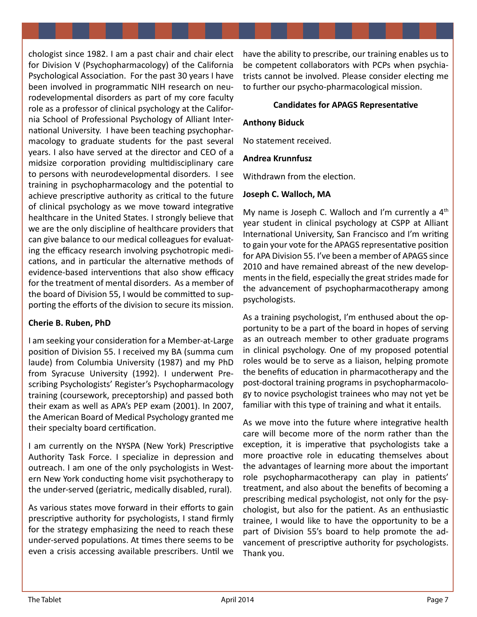chologist since 1982. I am a past chair and chair elect for Division V (Psychopharmacology) of the California Psychological Association. For the past 30 years I have been involved in programmatic NIH research on neurodevelopmental disorders as part of my core faculty role as a professor of clinical psychology at the California School of Professional Psychology of Alliant International University. I have been teaching psychopharmacology to graduate students for the past several years. I also have served at the director and CEO of a midsize corporation providing multidisciplinary care to persons with neurodevelopmental disorders. I see training in psychopharmacology and the potential to achieve prescriptive authority as critical to the future of clinical psychology as we move toward integrative healthcare in the United States. I strongly believe that we are the only discipline of healthcare providers that can give balance to our medical colleagues for evaluating the efficacy research involving psychotropic medications, and in particular the alternative methods of evidence-based interventions that also show efficacy for the treatment of mental disorders. As a member of the board of Division 55, I would be committed to supporting the efforts of the division to secure its mission.

# **Cherie B. Ruben, PhD**

I am seeking your consideration for a Member-at-Large position of Division 55. I received my BA (summa cum laude) from Columbia University (1987) and my PhD from Syracuse University (1992). I underwent Prescribing Psychologists' Register's Psychopharmacology training (coursework, preceptorship) and passed both their exam as well as APA's PEP exam (2001). In 2007, the American Board of Medical Psychology granted me their specialty board certification.

I am currently on the NYSPA (New York) Prescriptive Authority Task Force. I specialize in depression and outreach. I am one of the only psychologists in Western New York conducting home visit psychotherapy to the under-served (geriatric, medically disabled, rural).

As various states move forward in their efforts to gain prescriptive authority for psychologists, I stand firmly for the strategy emphasizing the need to reach these under-served populations. At times there seems to be even a crisis accessing available prescribers. Until we

have the ability to prescribe, our training enables us to be competent collaborators with PCPs when psychiatrists cannot be involved. Please consider electing me to further our psycho-pharmacological mission.

### **Candidates for APAGS Representative**

### **Anthony Biduck**

No statement received.

### **Andrea Krunnfusz**

Withdrawn from the election.

### **Joseph C. Walloch, MA**

My name is Joseph C. Walloch and I'm currently a  $4<sup>th</sup>$ year student in clinical psychology at CSPP at Alliant International University, San Francisco and I'm writing to gain your vote for the APAGS representative position for APA Division 55. I've been a member of APAGS since 2010 and have remained abreast of the new developments in the field, especially the great strides made for the advancement of psychopharmacotherapy among psychologists.

As a training psychologist, I'm enthused about the opportunity to be a part of the board in hopes of serving as an outreach member to other graduate programs in clinical psychology. One of my proposed potential roles would be to serve as a liaison, helping promote the benefits of education in pharmacotherapy and the post-doctoral training programs in psychopharmacology to novice psychologist trainees who may not yet be familiar with this type of training and what it entails.

As we move into the future where integrative health care will become more of the norm rather than the exception, it is imperative that psychologists take a more proactive role in educating themselves about the advantages of learning more about the important role psychopharmacotherapy can play in patients' treatment, and also about the benefits of becoming a prescribing medical psychologist, not only for the psychologist, but also for the patient. As an enthusiastic trainee, I would like to have the opportunity to be a part of Division 55's board to help promote the advancement of prescriptive authority for psychologists. Thank you.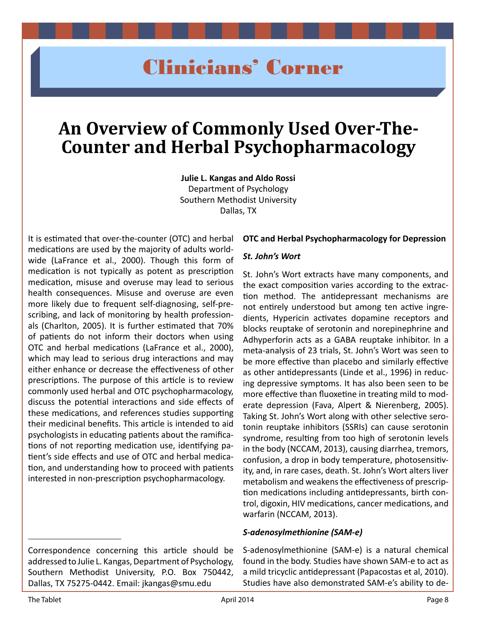# Clinicians' Corner

# **An Overview of Commonly Used Over-The-Counter and Herbal Psychopharmacology**

**Julie L. Kangas and Aldo Rossi** Department of Psychology Southern Methodist University Dallas, TX

It is estimated that over-the-counter (OTC) and herbal medications are used by the majority of adults worldwide (LaFrance et al., 2000). Though this form of medication is not typically as potent as prescription medication, misuse and overuse may lead to serious health consequences. Misuse and overuse are even more likely due to frequent self-diagnosing, self-prescribing, and lack of monitoring by health professionals (Charlton, 2005). It is further estimated that 70% of patients do not inform their doctors when using OTC and herbal medications (LaFrance et al., 2000), which may lead to serious drug interactions and may either enhance or decrease the effectiveness of other prescriptions. The purpose of this article is to review commonly used herbal and OTC psychopharmacology, discuss the potential interactions and side effects of these medications, and references studies supporting their medicinal benefits. This article is intended to aid psychologists in educating patients about the ramifications of not reporting medication use, identifying patient's side effects and use of OTC and herbal medication, and understanding how to proceed with patients interested in non-prescription psychopharmacology.

# Correspondence concerning this article should be addressed to Julie L. Kangas, Department of Psychology, Southern Methodist University, P.O. Box 750442, Dallas, TX 75275-0442. Email: [jkangas@smu.edu](mailto:jkangas@smu.edu)

### **OTC and Herbal Psychopharmacology for Depression**

### *St. John's Wort*

St. John's Wort extracts have many components, and the exact composition varies according to the extraction method. The antidepressant mechanisms are not entirely understood but among ten active ingredients, Hypericin activates dopamine receptors and blocks reuptake of serotonin and norepinephrine and Adhyperforin acts as a GABA reuptake inhibitor. In a meta-analysis of 23 trials, St. John's Wort was seen to be more effective than placebo and similarly effective as other antidepressants (Linde et al., 1996) in reducing depressive symptoms. It has also been seen to be more effective than fluoxetine in treating mild to moderate depression (Fava, Alpert & Nierenberg, 2005). Taking St. John's Wort along with other selective serotonin reuptake inhibitors (SSRIs) can cause serotonin syndrome, resulting from too high of serotonin levels in the body (NCCAM, 2013), causing diarrhea, tremors, confusion, a drop in body temperature, photosensitivity, and, in rare cases, death. St. John's Wort alters liver metabolism and weakens the effectiveness of prescription medications including antidepressants, birth control, digoxin, HIV medications, cancer medications, and warfarin (NCCAM, 2013).

### *S-adenosylmethionine (SAM-e)*

S-adenosylmethionine (SAM-e) is a natural chemical found in the body. Studies have shown SAM-e to act as a mild tricyclic antidepressant (Papacostas et al, 2010). Studies have also demonstrated SAM-e's ability to de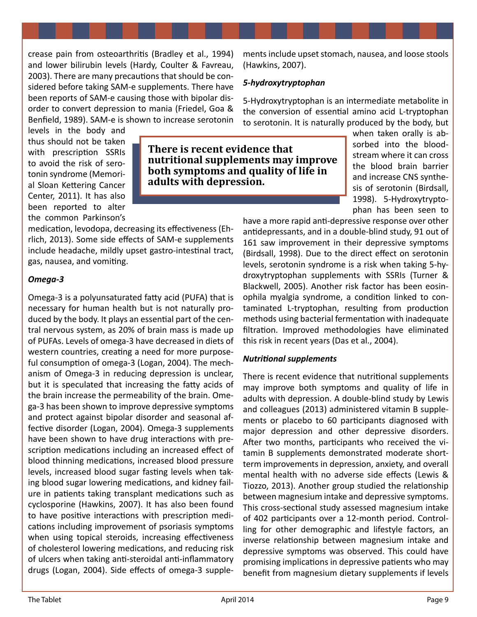crease pain from osteoarthritis (Bradley et al., 1994) and lower bilirubin levels (Hardy, Coulter & Favreau, 2003). There are many precautions that should be considered before taking SAM-e supplements. There have been reports of SAM-e causing those with bipolar disorder to convert depression to mania (Friedel, Goa & Benfield, 1989). SAM-e is shown to increase serotonin

medication, levodopa, decreasing its effectiveness (Ehrlich, 2013). Some side effects of SAM-e supplements include headache, mildly upset gastro-intestinal tract,

ments include upset stomach, nausea, and loose stools (Hawkins, 2007).

### *5-hydroxytryptophan*

5-Hydroxytryptophan is an intermediate metabolite in the conversion of essential amino acid L-tryptophan to serotonin. It is naturally produced by the body, but

levels in the body and thus should not be taken with prescription SSRIs to avoid the risk of serotonin syndrome (Memorial Sloan Kettering Cancer Center, 2011). It has also been reported to alter the common Parkinson's

gas, nausea, and vomiting.

**There is recent evidence that nutritional supplements may improve both symptoms and quality of life in adults with depression.**

when taken orally is absorbed into the bloodstream where it can cross the blood brain barrier and increase CNS synthesis of serotonin (Birdsall, 1998). 5-Hydroxytryptophan has been seen to

have a more rapid anti-depressive response over other antidepressants, and in a double-blind study, 91 out of 161 saw improvement in their depressive symptoms (Birdsall, 1998). Due to the direct effect on serotonin levels, serotonin syndrome is a risk when taking 5-hydroxytryptophan supplements with SSRIs (Turner & Blackwell, 2005). Another risk factor has been eosinophila myalgia syndrome, a condition linked to contaminated L-tryptophan, resulting from production methods using bacterial fermentation with inadequate filtration. Improved methodologies have eliminated this risk in recent years (Das et al., 2004).

### *Nutritional supplements*

There is recent evidence that nutritional supplements may improve both symptoms and quality of life in adults with depression. A double-blind study by Lewis and colleagues (2013) administered vitamin B supplements or placebo to 60 participants diagnosed with major depression and other depressive disorders. After two months, participants who received the vitamin B supplements demonstrated moderate shortterm improvements in depression, anxiety, and overall mental health with no adverse side effects (Lewis & Tiozzo, 2013). Another group studied the relationship between magnesium intake and depressive symptoms. This cross-sectional study assessed magnesium intake of 402 participants over a 12-month period. Controlling for other demographic and lifestyle factors, an inverse relationship between magnesium intake and depressive symptoms was observed. This could have promising implications in depressive patients who may benefit from magnesium dietary supplements if levels

# *Omega-3*

Omega-3 is a polyunsaturated fatty acid (PUFA) that is necessary for human health but is not naturally produced by the body. It plays an essential part of the central nervous system, as 20% of brain mass is made up of PUFAs. Levels of omega-3 have decreased in diets of western countries, creating a need for more purposeful consumption of omega-3 (Logan, 2004). The mechanism of Omega-3 in reducing depression is unclear, but it is speculated that increasing the fatty acids of the brain increase the permeability of the brain. Omega-3 has been shown to improve depressive symptoms and protect against bipolar disorder and seasonal affective disorder (Logan, 2004). Omega-3 supplements have been shown to have drug interactions with prescription medications including an increased effect of blood thinning medications, increased blood pressure levels, increased blood sugar fasting levels when taking blood sugar lowering medications, and kidney failure in patients taking transplant medications such as cyclosporine (Hawkins, 2007). It has also been found to have positive interactions with prescription medications including improvement of psoriasis symptoms when using topical steroids, increasing effectiveness of cholesterol lowering medications, and reducing risk of ulcers when taking anti-steroidal anti-inflammatory drugs (Logan, 2004). Side effects of omega-3 supple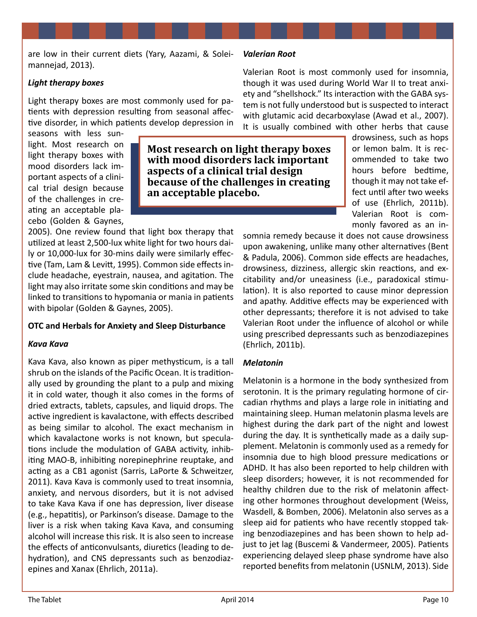are low in their current diets (Yary, Aazami, & Soleimannejad, 2013).

### *Light therapy boxes*

Light therapy boxes are most commonly used for patients with depression resulting from seasonal affective disorder, in which patients develop depression in

seasons with less sunlight. Most research on light therapy boxes with mood disorders lack important aspects of a clinical trial design because of the challenges in creating an acceptable placebo (Golden & Gaynes,

**Most research on light therapy boxes with mood disorders lack important aspects of a clinical trial design because of the challenges in creating an acceptable placebo.**

2005). One review found that light box therapy that utilized at least 2,500-lux white light for two hours daily or 10,000-lux for 30-mins daily were similarly effective (Tam, Lam & Levitt, 1995). Common side effects include headache, eyestrain, nausea, and agitation. The light may also irritate some skin conditions and may be linked to transitions to hypomania or mania in patients with bipolar (Golden & Gaynes, 2005).

# **OTC and Herbals for Anxiety and Sleep Disturbance**

### *Kava Kava*

Kava Kava, also known as piper methysticum, is a tall shrub on the islands of the Pacific Ocean. It is traditionally used by grounding the plant to a pulp and mixing it in cold water, though it also comes in the forms of dried extracts, tablets, capsules, and liquid drops. The active ingredient is kavalactone, with effects described as being similar to alcohol. The exact mechanism in which kavalactone works is not known, but speculations include the modulation of GABA activity, inhibiting MAO-B, inhibiting norepinephrine reuptake, and acting as a CB1 agonist (Sarris, LaPorte & Schweitzer, 2011). Kava Kava is commonly used to treat insomnia, anxiety, and nervous disorders, but it is not advised to take Kava Kava if one has depression, liver disease (e.g., hepatitis), or Parkinson's disease. Damage to the liver is a risk when taking Kava Kava, and consuming alcohol will increase this risk. It is also seen to increase the effects of anticonvulsants, diuretics (leading to dehydration), and CNS depressants such as benzodiazepines and Xanax (Ehrlich, 2011a).

### *Valerian Root*

Valerian Root is most commonly used for insomnia, though it was used during World War II to treat anxiety and "shellshock." Its interaction with the GABA system is not fully understood but is suspected to interact with glutamic acid decarboxylase (Awad et al., 2007). It is usually combined with other herbs that cause

> drowsiness, such as hops or lemon balm. It is recommended to take two hours before bedtime, though it may not take effect until after two weeks of use (Ehrlich, 2011b). Valerian Root is commonly favored as an in-

somnia remedy because it does not cause drowsiness upon awakening, unlike many other alternatives (Bent & Padula, 2006). Common side effects are headaches, drowsiness, dizziness, allergic skin reactions, and excitability and/or uneasiness (i.e., paradoxical stimulation). It is also reported to cause minor depression and apathy. Additive effects may be experienced with other depressants; therefore it is not advised to take Valerian Root under the influence of alcohol or while using prescribed depressants such as benzodiazepines (Ehrlich, 2011b).

# *Melatonin*

Melatonin is a hormone in the body synthesized from serotonin. It is the primary regulating hormone of circadian rhythms and plays a large role in initiating and maintaining sleep. Human melatonin plasma levels are highest during the dark part of the night and lowest during the day. It is synthetically made as a daily supplement. Melatonin is commonly used as a remedy for insomnia due to high blood pressure medications or ADHD. It has also been reported to help children with sleep disorders; however, it is not recommended for healthy children due to the risk of melatonin affecting other hormones throughout development (Weiss, Wasdell, & Bomben, 2006). Melatonin also serves as a sleep aid for patients who have recently stopped taking benzodiazepines and has been shown to help adjust to jet lag (Buscemi & Vandermeer, 2005). Patients experiencing delayed sleep phase syndrome have also reported benefits from melatonin (USNLM, 2013). Side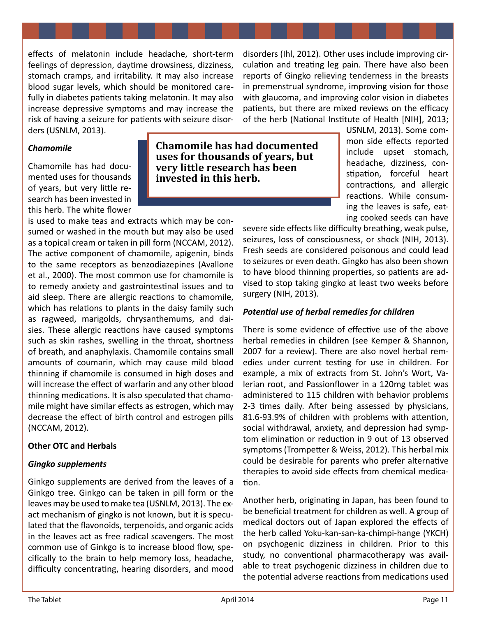effects of melatonin include headache, short-term feelings of depression, daytime drowsiness, dizziness, stomach cramps, and irritability. It may also increase blood sugar levels, which should be monitored carefully in diabetes patients taking melatonin. It may also increase depressive symptoms and may increase the risk of having a seizure for patients with seizure disorders (USNLM, 2013).

disorders (Ihl, 2012). Other uses include improving circulation and treating leg pain. There have also been reports of Gingko relieving tenderness in the breasts in premenstrual syndrome, improving vision for those with glaucoma, and improving color vision in diabetes patients, but there are mixed reviews on the efficacy of the herb (National Institute of Health [NIH], 2013;

### *Chamomile*

Chamomile has had documented uses for thousands of years, but very little research has been invested in this herb. The white flower

is used to make teas and extracts which may be consumed or washed in the mouth but may also be used as a topical cream or taken in pill form (NCCAM, 2012). The active component of chamomile, apigenin, binds to the same receptors as benzodiazepines (Avallone et al., 2000). The most common use for chamomile is to remedy anxiety and gastrointestinal issues and to aid sleep. There are allergic reactions to chamomile, which has relations to plants in the daisy family such as ragweed, marigolds, chrysanthemums, and daisies. These allergic reactions have caused symptoms such as skin rashes, swelling in the throat, shortness of breath, and anaphylaxis. Chamomile contains small amounts of coumarin, which may cause mild blood thinning if chamomile is consumed in high doses and will increase the effect of warfarin and any other blood thinning medications. It is also speculated that chamomile might have similar effects as estrogen, which may decrease the effect of birth control and estrogen pills (NCCAM, 2012).

### **Other OTC and Herbals**

#### *Gingko supplements*

Ginkgo supplements are derived from the leaves of a Ginkgo tree. Ginkgo can be taken in pill form or the leaves may be used to make tea (USNLM, 2013). The exact mechanism of gingko is not known, but it is speculated that the flavonoids, terpenoids, and organic acids in the leaves act as free radical scavengers. The most common use of Ginkgo is to increase blood flow, specifically to the brain to help memory loss, headache, difficulty concentrating, hearing disorders, and mood

**Chamomile has had documented uses for thousands of years, but very little research has been invested in this herb.** 

USNLM, 2013). Some common side effects reported include upset stomach, headache, dizziness, constipation, forceful heart contractions, and allergic reactions. While consuming the leaves is safe, eating cooked seeds can have

severe side effects like difficulty breathing, weak pulse, seizures, loss of consciousness, or shock (NIH, 2013). Fresh seeds are considered poisonous and could lead to seizures or even death. Gingko has also been shown to have blood thinning properties, so patients are advised to stop taking gingko at least two weeks before surgery (NIH, 2013).

#### *Potential use of herbal remedies for children*

There is some evidence of effective use of the above herbal remedies in children (see Kemper & Shannon, 2007 for a review). There are also novel herbal remedies under current testing for use in children. For example, a mix of extracts from St. John's Wort, Valerian root, and Passionflower in a 120mg tablet was administered to 115 children with behavior problems 2-3 times daily. After being assessed by physicians, 81.6-93.9% of children with problems with attention, social withdrawal, anxiety, and depression had symptom elimination or reduction in 9 out of 13 observed symptoms (Trompetter & Weiss, 2012). This herbal mix could be desirable for parents who prefer alternative therapies to avoid side effects from chemical medication.

Another herb, originating in Japan, has been found to be beneficial treatment for children as well. A group of medical doctors out of Japan explored the effects of the herb called Yoku-kan-san-ka-chimpi-hange (YKCH) on psychogenic dizziness in children. Prior to this study, no conventional pharmacotherapy was available to treat psychogenic dizziness in children due to the potential adverse reactions from medications used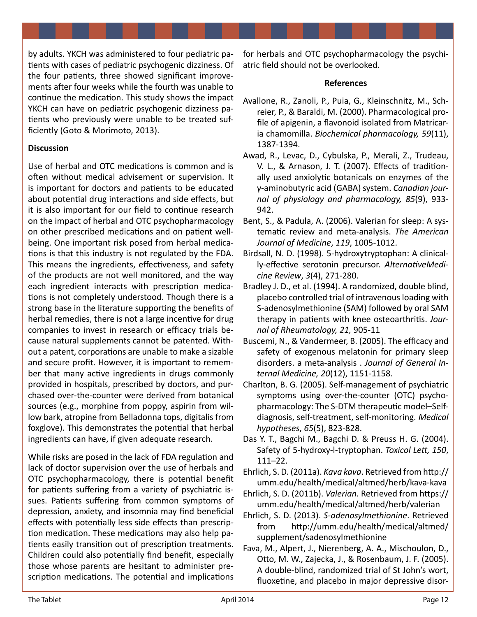by adults. YKCH was administered to four pediatric patients with cases of pediatric psychogenic dizziness. Of the four patients, three showed significant improvements after four weeks while the fourth was unable to continue the medication. This study shows the impact YKCH can have on pediatric psychogenic dizziness patients who previously were unable to be treated sufficiently (Goto & Morimoto, 2013).

### **Discussion**

Use of herbal and OTC medications is common and is often without medical advisement or supervision. It is important for doctors and patients to be educated about potential drug interactions and side effects, but it is also important for our field to continue research on the impact of herbal and OTC psychopharmacology on other prescribed medications and on patient wellbeing. One important risk posed from herbal medications is that this industry is not regulated by the FDA. This means the ingredients, effectiveness, and safety of the products are not well monitored, and the way each ingredient interacts with prescription medications is not completely understood. Though there is a strong base in the literature supporting the benefits of herbal remedies, there is not a large incentive for drug companies to invest in research or efficacy trials because natural supplements cannot be patented. Without a patent, corporations are unable to make a sizable and secure profit. However, it is important to remember that many active ingredients in drugs commonly provided in hospitals, prescribed by doctors, and purchased over-the-counter were derived from botanical sources (e.g., morphine from poppy, aspirin from willow bark, atropine from Belladonna tops, digitalis from foxglove). This demonstrates the potential that herbal ingredients can have, if given adequate research.

While risks are posed in the lack of FDA regulation and lack of doctor supervision over the use of herbals and OTC psychopharmacology, there is potential benefit for patients suffering from a variety of psychiatric issues. Patients suffering from common symptoms of depression, anxiety, and insomnia may find beneficial effects with potentially less side effects than prescription medication. These medications may also help patients easily transition out of prescription treatments. Children could also potentially find benefit, especially those whose parents are hesitant to administer prescription medications. The potential and implications

for herbals and OTC psychopharmacology the psychiatric field should not be overlooked.

### **References**

- Avallone, R., Zanoli, P., Puia, G., Kleinschnitz, M., Schreier, P., & Baraldi, M. (2000). Pharmacological profile of apigenin, a flavonoid isolated from Matricaria chamomilla. *Biochemical pharmacology, 59*(11), 1387-1394.
- Awad, R., Levac, D., Cybulska, P., Merali, Z., Trudeau, V. L., & Arnason, J. T. (2007). Effects of traditionally used anxiolytic botanicals on enzymes of the γ-aminobutyric acid (GABA) system. *Canadian journal of physiology and pharmacology, 85*(9), 933- 942.
- Bent, S., & Padula, A. (2006). Valerian for sleep: A systematic review and meta-analysis. *The American Journal of Medicine*, *119*, 1005-1012.
- Birdsall, N. D. (1998). 5-hydroxytryptophan: A clinically-effective serotonin precursor. *AlternativeMedicine Review*, *3*(4), 271-280.
- Bradley J. D., et al. (1994). A randomized, double blind, placebo controlled trial of intravenous loading with S-adenosylmethionine (SAM) followed by oral SAM therapy in patients with knee osteoarthritis. *Journal of Rheumatology, 21,* 905-11
- Buscemi, N., & Vandermeer, B. (2005). The efficacy and safety of exogenous melatonin for primary sleep disorders. a meta-analysis . *Journal of General Internal Medicine, 20*(12), 1151-1158.
- Charlton, B. G. (2005). Self-management of psychiatric symptoms using over-the-counter (OTC) psychopharmacology: The S-DTM therapeutic model–Selfdiagnosis, self-treatment, self-monitoring. *Medical hypotheses*, *65*(5), 823-828.
- Das Y. T., Bagchi M., Bagchi D. & Preuss H. G. (2004). Safety of 5-hydroxy-l-tryptophan. *Toxicol Lett, 150*, 111–22.
- Ehrlich, S. D. (2011a). *Kava kava*. Retrieved from [http://](http://umm.edu/health/medical/altmed/herb/kava) [umm.edu/health/medical/altmed/herb/kava](http://umm.edu/health/medical/altmed/herb/kava)-kava
- Ehrlich, S. D. (2011b). *Valerian.* Retrieved from [https://](https://umm.edu/health/medical/altmed/herb/valerian) [umm.edu/health/medical/altmed/herb/valerian](https://umm.edu/health/medical/altmed/herb/valerian)
- Ehrlich, S. D. (2013). *S-adenosylmethionine*. Retrieved from [http://umm.edu/health/medical/altmed/](http://umm.edu/health/medical/altmed/supplement/sadenosylmethionine) [supplement/sadenosylmethionine](http://umm.edu/health/medical/altmed/supplement/sadenosylmethionine)
- Fava, M., Alpert, J., Nierenberg, A. A., Mischoulon, D., Otto, M. W., Zajecka, J., & Rosenbaum, J. F. (2005). A double-blind, randomized trial of St John's wort, fluoxetine, and placebo in major depressive disor-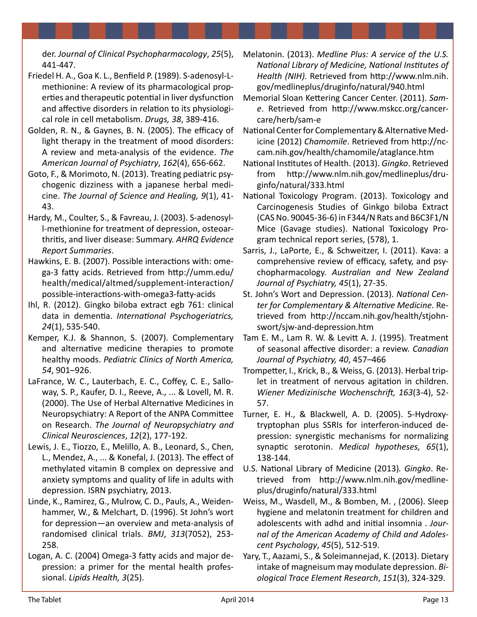der. *Journal of Clinical Psychopharmacology*, *25*(5), 441-447.

- Friedel H. A., Goa K. L., Benfield P. (1989). S-adenosyl-Lmethionine: A review of its pharmacological properties and therapeutic potential in liver dysfunction and affective disorders in relation to its physiological role in cell metabolism. *Drugs, 38*, 389-416.
- Golden, R. N., & Gaynes, B. N. (2005). The efficacy of light therapy in the treatment of mood disorders: A review and meta-analysis of the evidence. *The American Journal of Psychiatry*, *162*(4), 656-662.
- Goto, F., & Morimoto, N. (2013). Treating pediatric psychogenic dizziness with a japanese herbal medicine. *The Journal of Science and Healing, 9*(1), 41- 43.
- Hardy, M., Coulter, S., & Favreau, J. (2003). S-adenosyll-methionine for treatment of depression, osteoarthritis, and liver disease: Summary. *AHRQ Evidence Report Summaries*.
- Hawkins, E. B. (2007). Possible interactions with: omega-3 fatty acids. Retrieved from [http://umm.edu/](http://umm.edu/health/medical/altmed/supplement-interaction/possible) [health/medical/altmed/supplement-interaction/](http://umm.edu/health/medical/altmed/supplement-interaction/possible) [possible-](http://umm.edu/health/medical/altmed/supplement-interaction/possible)interactions-with-omega3-fatty-acids
- Ihl, R. (2012). Gingko biloba extract egb 761: clinical data in dementia. *International Psychogeriatrics, 24*(1), 535-540.
- Kemper, K.J. & Shannon, S. (2007). Complementary and alternative medicine therapies to promote healthy moods. *Pediatric Clinics of North America, 54*, 901–926.
- LaFrance, W. C., Lauterbach, E. C., Coffey, C. E., Salloway, S. P., Kaufer, D. I., Reeve, A., ... & Lovell, M. R. (2000). The Use of Herbal Alternative Medicines in Neuropsychiatry: A Report of the ANPA Committee on Research. *The Journal of Neuropsychiatry and Clinical Neurosciences*, *12*(2), 177-192.
- Lewis, J. E., Tiozzo, E., Melillo, A. B., Leonard, S., Chen, L., Mendez, A., ... & Konefal, J. (2013). The effect of methylated vitamin B complex on depressive and anxiety symptoms and quality of life in adults with depression. ISRN psychiatry, 2013.
- Linde, K., Ramirez, G., Mulrow, C. D., Pauls, A., Weidenhammer, W., & Melchart, D. (1996). St John's wort for depression—an overview and meta-analysis of randomised clinical trials. *BMJ*, *313*(7052), 253- 258.
- Logan, A. C. (2004) Omega-3 fatty acids and major depression: a primer for the mental health professional. *Lipids Health, 3*(25).
- Melatonin. (2013). *Medline Plus: A service of the U.S. National Library of Medicine, National Institutes of Health (NIH).* Retrieved from [http://www.nlm.nih.](http://www.nlm.nih.gov/medlineplus/druginfo/natural/940.html) [gov/medlineplus/druginfo/natural/940.html](http://www.nlm.nih.gov/medlineplus/druginfo/natural/940.html)
- Memorial Sloan Kettering Cancer Center. (2011). *Same*. Retrieved from [http://www.mskcc.org/cancer](http://www.mskcc.org/cancer-care/herb/sam)[care/herb/sam-](http://www.mskcc.org/cancer-care/herb/sam)e
- National Center for Complementary & Alternative Medicine (2012) *Chamomile*. Retrieved from [http://nc](http://nccam.nih.gov/health/chamomile/ataglance.htm)[cam.nih.gov/health/chamomile/ataglance.htm](http://nccam.nih.gov/health/chamomile/ataglance.htm)
- National Institutes of Health. (2013). *Gingko*. Retrieved from [http://www.nlm.nih.gov/medlineplus/dru](http://www.nlm.nih.gov/medlineplus/druginfo/natural/333.html)[ginfo/natural/333.html](http://www.nlm.nih.gov/medlineplus/druginfo/natural/333.html)
- National Toxicology Program. (2013). Toxicology and Carcinogenesis Studies of Ginkgo biloba Extract (CAS No. 90045-36-6) in F344/N Rats and B6C3F1/N Mice (Gavage studies). National Toxicology Program technical report series, (578), 1.
- Sarris, J., LaPorte, E., & Schweitzer, I. (2011). Kava: a comprehensive review of efficacy, safety, and psychopharmacology. *Australian and New Zealand Journal of Psychiatry, 45*(1), 27-35.
- St. John's Wort and Depression. (2013). *National Center for Complementary & Alternative Medicine*. Retrieved from [http://nccam.nih.gov/health/stjohn](http://nccam.nih.gov/health/stjohnswort/sjw-and-depression.htm)[swort/sjw-and-depression.htm](http://nccam.nih.gov/health/stjohnswort/sjw-and-depression.htm)
- Tam E. M., Lam R. W. & Levitt A. J. (1995). Treatment of seasonal affective disorder: a review. *Canadian Journal of Psychiatry, 40*, 457–466
- Trompetter, I., Krick, B., & Weiss, G. (2013). Herbal triplet in treatment of nervous agitation in children. *Wiener Medizinische Wochenschrift, 163*(3-4), 52- 57.
- Turner, E. H., & Blackwell, A. D. (2005). 5-Hydroxytryptophan plus SSRIs for interferon-induced depression: synergistic mechanisms for normalizing synaptic serotonin. *Medical hypotheses, 65*(1), 138-144.
- U.S. National Library of Medicine (2013)*. Gingko*. Retrieved from [http://www.nlm.nih.gov/medline](http://www.nlm.nih.gov/medlineplus/druginfo/natural/333.html)[plus/druginfo/natural/333.html](http://www.nlm.nih.gov/medlineplus/druginfo/natural/333.html)
- Weiss, M., Wasdell, M., & Bomben, M. , (2006). Sleep hygiene and melatonin treatment for children and adolescents with adhd and initial insomnia . *Journal of the American Academy of Child and Adolescent Psychology*, *45*(5), 512-519.
- Yary, T., Aazami, S., & Soleimannejad, K. (2013). Dietary intake of magneisum may modulate depression. *Biological Trace Element Research*, *151*(3), 324-329.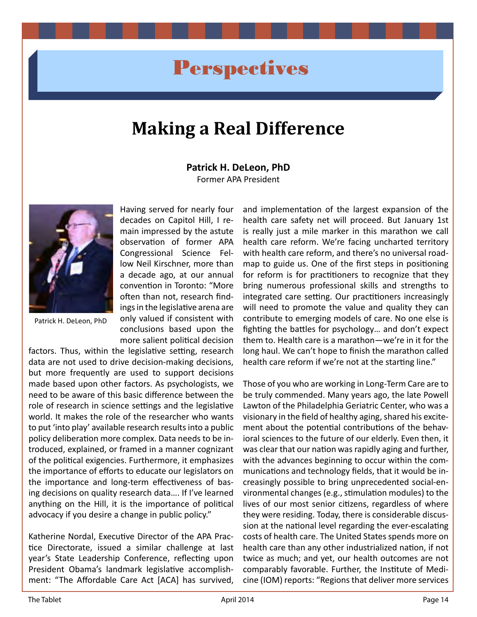# **Perspectives**

# **Making a Real Difference**

**Patrick H. DeLeon, PhD** Former APA President



Patrick H. DeLeon, PhD

Having served for nearly four decades on Capitol Hill, I remain impressed by the astute observation of former APA Congressional Science Fellow Neil Kirschner, more than a decade ago, at our annual convention in Toronto: "More often than not, research findings in the legislative arena are only valued if consistent with conclusions based upon the more salient political decision

factors. Thus, within the legislative setting, research data are not used to drive decision-making decisions, but more frequently are used to support decisions made based upon other factors. As psychologists, we need to be aware of this basic difference between the role of research in science settings and the legislative world. It makes the role of the researcher who wants to put 'into play' available research results into a public policy deliberation more complex. Data needs to be introduced, explained, or framed in a manner cognizant of the political exigencies. Furthermore, it emphasizes the importance of efforts to educate our legislators on the importance and long-term effectiveness of basing decisions on quality research data…. If I've learned anything on the Hill, it is the importance of political advocacy if you desire a change in public policy."

Katherine Nordal, Executive Director of the APA Practice Directorate, issued a similar challenge at last year's State Leadership Conference, reflecting upon President Obama's landmark legislative accomplishment: "The Affordable Care Act [ACA] has survived, and implementation of the largest expansion of the health care safety net will proceed. But January 1st is really just a mile marker in this marathon we call health care reform. We're facing uncharted territory with health care reform, and there's no universal roadmap to guide us. One of the first steps in positioning for reform is for practitioners to recognize that they bring numerous professional skills and strengths to integrated care setting. Our practitioners increasingly will need to promote the value and quality they can contribute to emerging models of care. No one else is fighting the battles for psychology… and don't expect them to. Health care is a marathon—we're in it for the long haul. We can't hope to finish the marathon called health care reform if we're not at the starting line."

Those of you who are working in Long-Term Care are to be truly commended. Many years ago, the late Powell Lawton of the Philadelphia Geriatric Center, who was a visionary in the field of healthy aging, shared his excitement about the potential contributions of the behavioral sciences to the future of our elderly. Even then, it was clear that our nation was rapidly aging and further, with the advances beginning to occur within the communications and technology fields, that it would be increasingly possible to bring unprecedented social-environmental changes (e.g., stimulation modules) to the lives of our most senior citizens, regardless of where they were residing. Today, there is considerable discussion at the national level regarding the ever-escalating costs of health care. The United States spends more on health care than any other industrialized nation, if not twice as much; and yet, our health outcomes are not comparably favorable. Further, the Institute of Medicine (IOM) reports: "Regions that deliver more services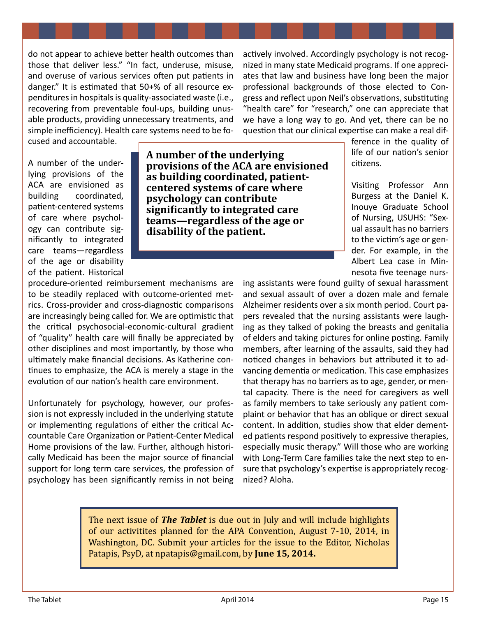do not appear to achieve better health outcomes than those that deliver less." "In fact, underuse, misuse, and overuse of various services often put patients in danger." It is estimated that 50+% of all resource expenditures in hospitals is quality-associated waste (i.e., recovering from preventable foul-ups, building unusable products, providing unnecessary treatments, and simple inefficiency). Health care systems need to be fo-

actively involved. Accordingly psychology is not recognized in many state Medicaid programs. If one appreciates that law and business have long been the major professional backgrounds of those elected to Congress and reflect upon Neil's observations, substituting "health care" for "research," one can appreciate that we have a long way to go. And yet, there can be no question that our clinical expertise can make a real dif-

cused and accountable.

A number of the underlying provisions of the ACA are envisioned as building coordinated, patient-centered systems of care where psychology can contribute significantly to integrated care teams—regardless of the age or disability of the patient. Historical

**A number of the underlying provisions of the ACA are envisioned as building coordinated, patientcentered systems of care where psychology can contribute significantly to integrated care teams—regardless of the age or disability of the patient.** 

ference in the quality of life of our nation's senior citizens.

Visiting Professor Ann Burgess at the Daniel K. Inouye Graduate School of Nursing, USUHS: "Sexual assault has no barriers to the victim's age or gender. For example, in the Albert Lea case in Minnesota five teenage nurs-

procedure-oriented reimbursement mechanisms are to be steadily replaced with outcome-oriented metrics. Cross-provider and cross-diagnostic comparisons are increasingly being called for. We are optimistic that the critical psychosocial-economic-cultural gradient of "quality" health care will finally be appreciated by other disciplines and most importantly, by those who ultimately make financial decisions. As Katherine continues to emphasize, the ACA is merely a stage in the evolution of our nation's health care environment.

Unfortunately for psychology, however, our profession is not expressly included in the underlying statute or implementing regulations of either the critical Accountable Care Organization or Patient-Center Medical Home provisions of the law. Further, although historically Medicaid has been the major source of financial support for long term care services, the profession of psychology has been significantly remiss in not being

ing assistants were found guilty of sexual harassment and sexual assault of over a dozen male and female Alzheimer residents over a six month period. Court papers revealed that the nursing assistants were laughing as they talked of poking the breasts and genitalia of elders and taking pictures for online posting. Family members, after learning of the assaults, said they had noticed changes in behaviors but attributed it to advancing dementia or medication. This case emphasizes that therapy has no barriers as to age, gender, or mental capacity. There is the need for caregivers as well as family members to take seriously any patient complaint or behavior that has an oblique or direct sexual content. In addition, studies show that elder demented patients respond positively to expressive therapies, especially music therapy." Will those who are working with Long-Term Care families take the next step to ensure that psychology's expertise is appropriately recognized? Aloha.

The next issue of *The Tablet* is due out in July and will include highlights of our activitites planned for the APA Convention, August 7-10, 2014, in Washington, DC. Submit your articles for the issue to the Editor, Nicholas Patapis, PsyD, at [npatapis@gmail.com,](mailto:npatapis@gmail.com) by **June 15, 2014.**